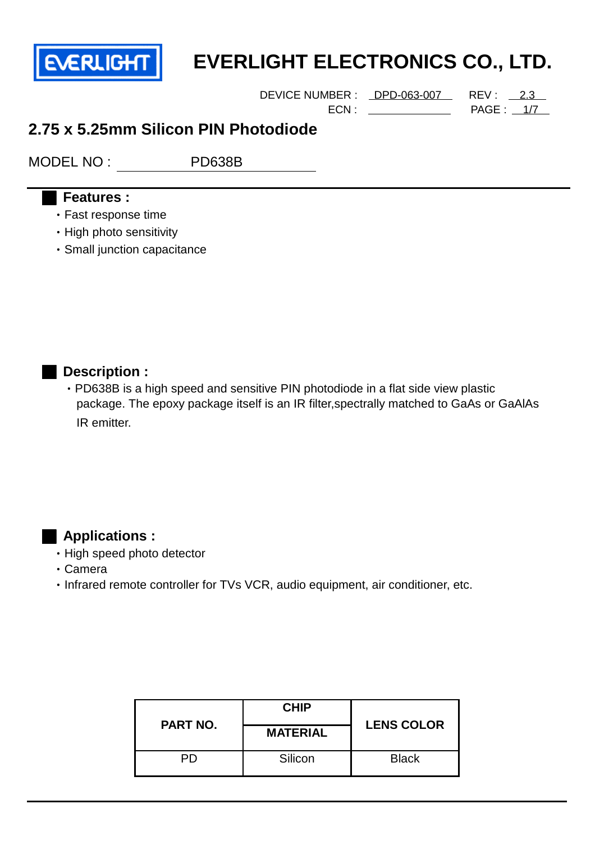

DEVICE NUMBER : DPD-063-007 REV : 2.3

ECN : PAGE : 1/7

### **2.75 x 5.25mm Silicon PIN Photodiode**

MODEL NO : PD638B

#### █ **Features :**

- •Fast response time
- •High photo sensitivity
- •Small junction capacitance



 •PD638B is a high speed and sensitive PIN photodiode in a flat side view plastic package. The epoxy package itself is an IR filter,spectrally matched to GaAs or GaAlAs IR emitter.

#### $\blacksquare$  Applications :

- •High speed photo detector
- •Camera
- •Infrared remote controller for TVs VCR, audio equipment, air conditioner, etc.

| <b>PART NO.</b> | <b>CHIP</b>     | <b>LENS COLOR</b> |  |
|-----------------|-----------------|-------------------|--|
|                 | <b>MATERIAL</b> |                   |  |
|                 | Silicon         | <b>Black</b>      |  |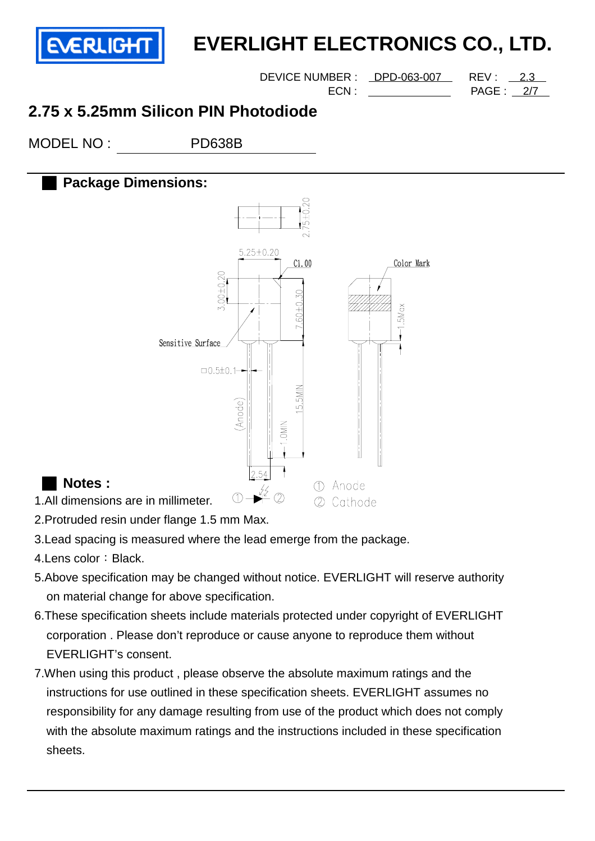

DEVICE NUMBER : DPD-063-007 REV : 2.3

ECN : PAGE : 2/7

## **2.75 x 5.25mm Silicon PIN Photodiode**

MODEL NO : PD638B

#### **Package Dimensions:**



#### $Notes:$

1.All dimensions are in millimeter.

2.Protruded resin under flange 1.5 mm Max.

3.Lead spacing is measured where the lead emerge from the package.

4.Lens color: Black.

- 5.Above specification may be changed without notice. EVERLIGHT will reserve authority on material change for above specification.
- 6.These specification sheets include materials protected under copyright of EVERLIGHT corporation . Please don't reproduce or cause anyone to reproduce them without EVERLIGHT's consent.
- 7.When using this product , please observe the absolute maximum ratings and the instructions for use outlined in these specification sheets. EVERLIGHT assumes no responsibility for any damage resulting from use of the product which does not comply with the absolute maximum ratings and the instructions included in these specification sheets.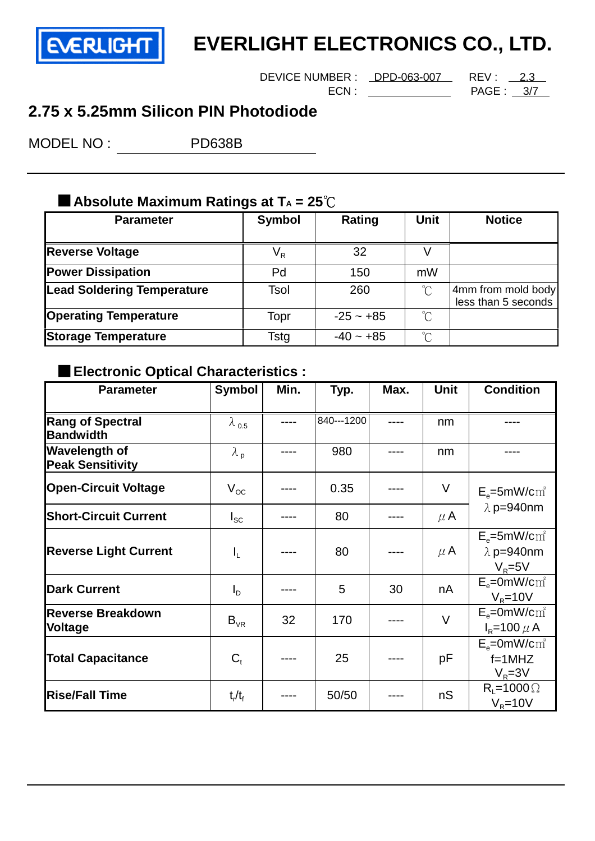

DEVICE NUMBER : DPD-063-007 REV : 2.3

ECN : PAGE : 3/7

## **2.75 x 5.25mm Silicon PIN Photodiode**

MODEL NO : PD638B

### ■ Absolute Maximum Ratings at T<sub>A</sub> = 25<sup>°</sup>C

| <b>Parameter</b>                  | <b>Symbol</b>           | Rating      | Unit             | <b>Notice</b>                             |
|-----------------------------------|-------------------------|-------------|------------------|-------------------------------------------|
|                                   |                         |             |                  |                                           |
| <b>Reverse Voltage</b>            | $\mathsf{V}_\mathsf{R}$ | 32          |                  |                                           |
| <b>Power Dissipation</b>          | Pd                      | 150         | mW               |                                           |
| <b>Lead Soldering Temperature</b> | Tsol                    | 260         | $\int_0^\infty$  | 4mm from mold body<br>less than 5 seconds |
| <b>Operating Temperature</b>      | Topr                    | $-25 - +85$ | $^{\circ}$ C     |                                           |
| <b>Storage Temperature</b>        | Tstg                    | $-40 - +85$ | $\gamma^{\circ}$ |                                           |

#### █ **Electronic Optical Characteristics :**

| <b>Parameter</b>                                | <b>Symbol</b>     | Min. | Typ.       | Max. | <b>Unit</b> | <b>Condition</b>                                     |  |
|-------------------------------------------------|-------------------|------|------------|------|-------------|------------------------------------------------------|--|
| <b>Rang of Spectral</b><br><b>Bandwidth</b>     | $\lambda_{0.5}$   |      | 840---1200 | ---- | nm          |                                                      |  |
| <b>Wavelength of</b><br><b>Peak Sensitivity</b> | $\lambda_{\rm p}$ |      | 980        |      | nm          |                                                      |  |
| <b>Open-Circuit Voltage</b>                     | $V_{OC}$          |      | 0.35       |      | V           | $E_e = 5$ mW/c $m^2$                                 |  |
| <b>Short-Circuit Current</b>                    | $I_{SC}$          |      | 80         |      | $\mu$ A     | $\lambda$ p=940nm                                    |  |
| <b>Reverse Light Current</b>                    | $I_{L}$           |      | 80         |      | $\mu$ A     | $E_e = 5$ mW/c $m^2$<br>$\lambda$ p=940nm<br>$VR=5V$ |  |
| <b>Dark Current</b>                             | $I_{\text{D}}$    |      | 5          | 30   | nA          | $E_e = 0$ mW/c $m^2$<br>$VR=10V$                     |  |
| <b>Reverse Breakdown</b><br><b>Voltage</b>      | $B_{VR}$          | 32   | 170        |      | $\vee$      | $E_e = 0$ mW/c $m^2$<br>$I_R = 100 \mu A$            |  |
| <b>Total Capacitance</b>                        | $C_{t}$           |      | 25         |      | pF          | $E_e = 0$ mW/c $m^2$<br>$f = 1$ MHZ<br>$V_R = 3V$    |  |
| <b>Rise/Fall Time</b>                           | $t/t_f$           |      | 50/50      |      | nS          | $R_1 = 1000 \Omega$<br>$VR=10V$                      |  |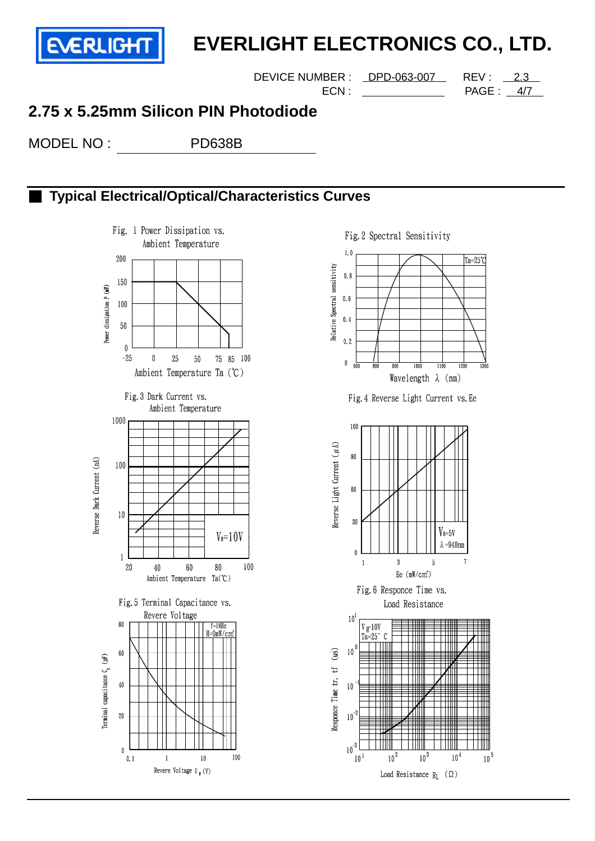

DEVICE NUMBER : DPD-063-007 REV : 2.3

ECN : PAGE : 4/7

## **2.75 x 5.25mm Silicon PIN Photodiode**

MODEL NO : PD638B

#### ■ **Typical Electrical/Optical/Characteristics Curves**



Fig. 2 Spectral Sensitivity



Fig. 4 Reverse Light Current vs. Ee



Fig. 6 Responce Time vs. Load Resistance

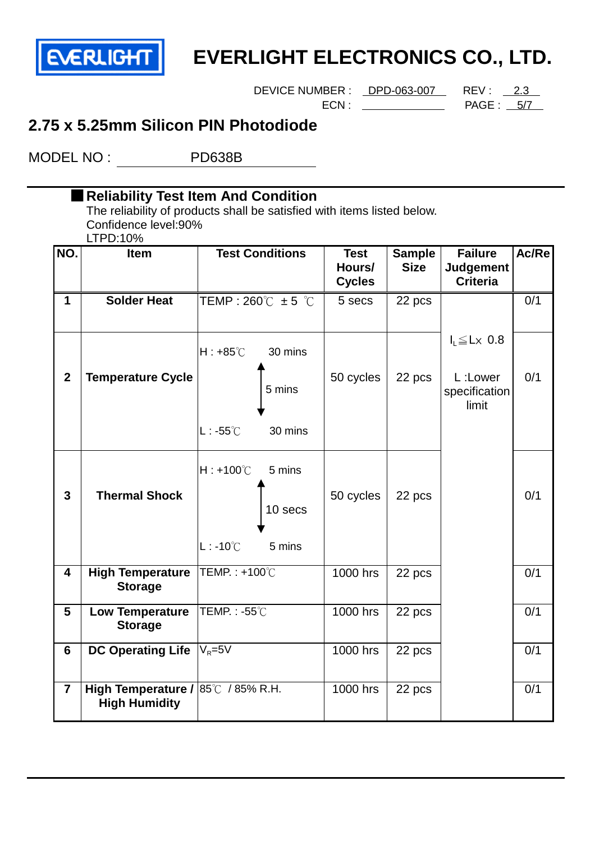

# **ERLIGHT** EVERLIGHT ELECTRONICS CO., LTD.

DEVICE NUMBER : <u>DPD-063-007</u> REV : 2.3

ECN : PAGE : 5/7

### **2.75 x 5.25mm Silicon PIN Photodiode**

█ **Reliability Test Item And Condition**

MODEL NO : PD638B

|                         | napnity Toot Konfederation Condition<br>The reliability of products shall be satisfied with items listed below.<br>Confidence level: 90%<br>LTPD:10% |                                                                          |                                        |                              |                                                              |       |  |
|-------------------------|------------------------------------------------------------------------------------------------------------------------------------------------------|--------------------------------------------------------------------------|----------------------------------------|------------------------------|--------------------------------------------------------------|-------|--|
| NO.                     | <b>Item</b>                                                                                                                                          | <b>Test Conditions</b>                                                   | <b>Test</b><br>Hours/<br><b>Cycles</b> | <b>Sample</b><br><b>Size</b> | <b>Failure</b><br><b>Judgement</b><br><b>Criteria</b>        | Ac/Re |  |
| $\mathbf 1$             | <b>Solder Heat</b>                                                                                                                                   | $\mathsf{TEMP}: 260^{\circ}\mathbb{C}$ ± 5 $^{\circ}\mathbb{C}$          | 5 secs                                 | 22 pcs                       |                                                              | 0/1   |  |
| $\mathbf{2}$            | <b>Temperature Cycle</b>                                                                                                                             | $H: +85^{\circ}$ C<br>30 mins<br>5 mins<br>$L: -55^{\circ}$ C<br>30 mins | 50 cycles                              | 22 pcs                       | $I_L \leq L \times 0.8$<br>L:Lower<br>specification<br>limit | 0/1   |  |
| $\mathbf{3}$            | <b>Thermal Shock</b>                                                                                                                                 | $H: +100^{\circ}C$<br>5 mins<br>10 secs<br>$L: -10^{\circ}C$<br>5 mins   | 50 cycles                              | 22 pcs                       |                                                              | 0/1   |  |
| $\overline{\mathbf{4}}$ | <b>High Temperature</b><br><b>Storage</b>                                                                                                            | TEMP.: +100℃                                                             | 1000 hrs                               | 22 pcs                       |                                                              | 0/1   |  |
| 5                       | <b>Low Temperature</b><br><b>Storage</b>                                                                                                             | TEMP.: -55℃                                                              | 1000 hrs                               | 22 pcs                       |                                                              | 0/1   |  |
| 6                       | <b>DC Operating Life</b>                                                                                                                             | $V_R = 5V$                                                               | $1000$ hrs                             | 22 pcs                       |                                                              | 0/1   |  |
| $\overline{7}$          | High Temperature / 85°C / 85% R.H.<br><b>High Humidity</b>                                                                                           |                                                                          | 1000 hrs                               | 22 pcs                       |                                                              | 0/1   |  |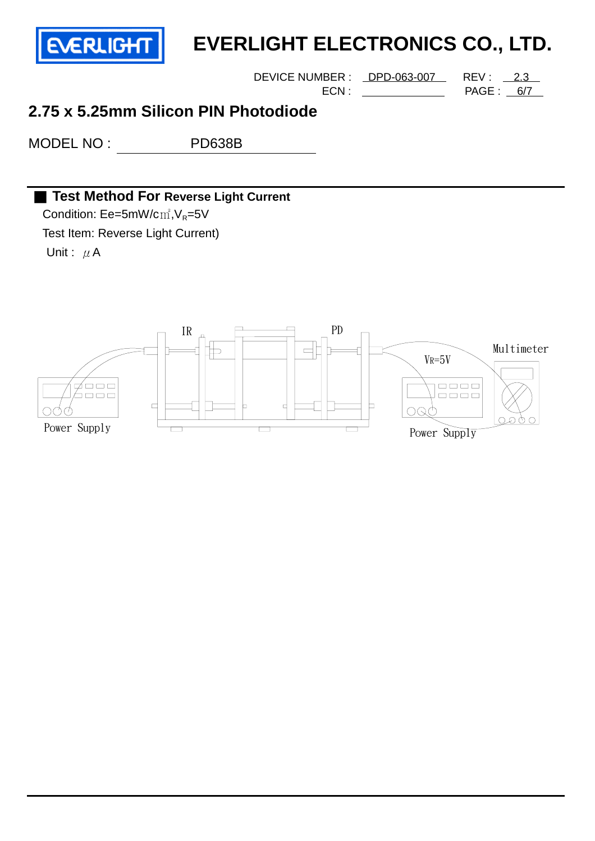

DEVICE NUMBER : <u>DPD-063-007</u> REV : 2.3

ECN : PAGE : 6/7

## **2.75 x 5.25mm Silicon PIN Photodiode**

MODEL NO : PD638B

#### █ **Test Method For Reverse Light Current**

Condition: Ee=5mW/c $m^2$ , V<sub>R</sub>=5V Test Item: Reverse Light Current) Unit :  $\mu$  A